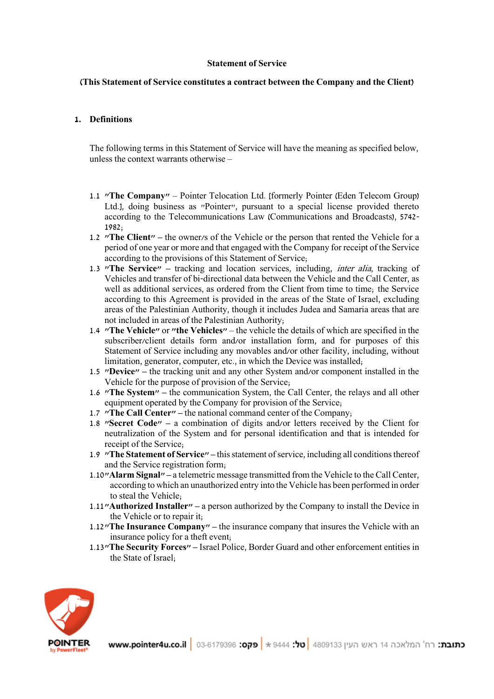#### **Statement of Service**

### **(This Statement of Service constitutes a contract between the Company and the Client)**

### **1. Definitions**

The following terms in this Statement of Service will have the meaning as specified below, unless the context warrants otherwise –

- 1.1 **"The Company"** Pointer Telocation Ltd. [formerly Pointer (Eden Telecom Group) Ltd.], doing business as "Pointer", pursuant to a special license provided thereto according to the Telecommunications Law (Communications and Broadcasts), 5742- 1982;
- 1.2 **"The Client" –** the owner/s of the Vehicle or the person that rented the Vehicle for a period of one year or more and that engaged with the Company for receipt of the Service according to the provisions of this Statement of Service;
- 1.3 **"The Service" –** tracking and location services, including, inter alia, tracking of Vehicles and transfer of bi-directional data between the Vehicle and the Call Center, as well as additional services, as ordered from the Client from time to time; the Service according to this Agreement is provided in the areas of the State of Israel, excluding areas of the Palestinian Authority, though it includes Judea and Samaria areas that are not included in areas of the Palestinian Authority;
- 1.4 **"The Vehicle"** or **"the Vehicles"** the vehicle the details of which are specified in the subscriber/client details form and/or installation form, and for purposes of this Statement of Service including any movables and/or other facility, including, without limitation, generator, computer, etc., in which the Device was installed;
- 1.5 **"Device" –** the tracking unit and any other System and/or component installed in the Vehicle for the purpose of provision of the Service;
- 1.6 **"The System" –** the communication System, the Call Center, the relays and all other equipment operated by the Company for provision of the Service;
- 1.7 **"The Call Center" –** the national command center of the Company;
- 1.8 **"Secret Code" –** a combination of digits and/or letters received by the Client for neutralization of the System and for personal identification and that is intended for receipt of the Service;
- 1.9 **"The Statement of Service" –** this statement of service, including all conditions thereof and the Service registration form;
- 1.10**"Alarm Signal" –** a telemetric message transmitted from the Vehicle to the Call Center, according to which an unauthorized entry into the Vehicle has been performed in order to steal the Vehicle;
- 1.11**"Authorized Installer" –** a person authorized by the Company to install the Device in the Vehicle or to repair it;
- 1.12**"The Insurance Company" –** the insurance company that insures the Vehicle with an insurance policy for a theft event;
- 1.13**"The Security Forces" –** Israel Police, Border Guard and other enforcement entities in the State of Israel;

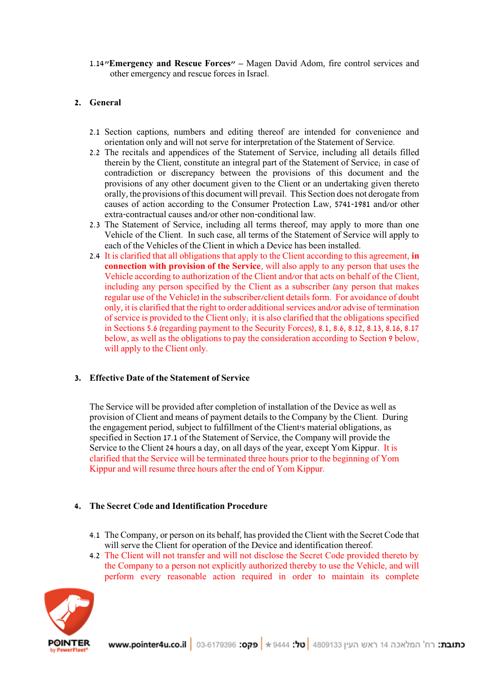1.14**"Emergency and Rescue Forces" –** Magen David Adom, fire control services and other emergency and rescue forces in Israel.

## **2. General**

- 2.1 Section captions, numbers and editing thereof are intended for convenience and orientation only and will not serve for interpretation of the Statement of Service.
- 2.2 The recitals and appendices of the Statement of Service, including all details filled therein by the Client, constitute an integral part of the Statement of Service; in case of contradiction or discrepancy between the provisions of this document and the provisions of any other document given to the Client or an undertaking given thereto orally, the provisions of this document will prevail. This Section does not derogate from causes of action according to the Consumer Protection Law, 5741-1981 and/or other extra-contractual causes and/or other non-conditional law.
- 2.3 The Statement of Service, including all terms thereof, may apply to more than one Vehicle of the Client. In such case, all terms of the Statement of Service will apply to each of the Vehicles of the Client in which a Device has been installed.
- 2.4 It is clarified that all obligations that apply to the Client according to this agreement, **in connection with provision of the Service**, will also apply to any person that uses the Vehicle according to authorization of the Client and/or that acts on behalf of the Client, including any person specified by the Client as a subscriber (any person that makes regular use of the Vehicle) in the subscriber/client details form. For avoidance of doubt only, it is clarified that the right to order additional services and/or advise of termination of service is provided to the Client only; it is also clarified that the obligations specified in Sections 5.6 (regarding payment to the Security Forces), 8.1, 8.6, 8.12, 8.13, 8.16, 8.17 below, as well as the obligations to pay the consideration according to Section 9 below, will apply to the Client only.

### **3. Effective Date of the Statement of Service**

The Service will be provided after completion of installation of the Device as well as provision of Client and means of payment details to the Company by the Client. During the engagement period, subject to fulfillment of the Client's material obligations, as specified in Section 17.1 of the Statement of Service, the Company will provide the Service to the Client 24 hours a day, on all days of the year, except Yom Kippur. It is clarified that the Service will be terminated three hours prior to the beginning of Yom Kippur and will resume three hours after the end of Yom Kippur.

### **4. The Secret Code and Identification Procedure**

- 4.1 The Company, or person on its behalf, has provided the Client with the Secret Code that will serve the Client for operation of the Device and identification thereof.
- 4.2 The Client will not transfer and will not disclose the Secret Code provided thereto by the Company to a person not explicitly authorized thereby to use the Vehicle, and will perform every reasonable action required in order to maintain its complete

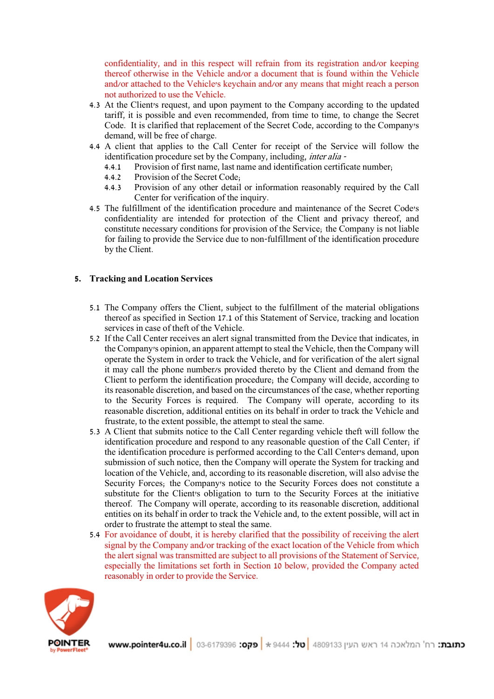confidentiality, and in this respect will refrain from its registration and/or keeping thereof otherwise in the Vehicle and/or a document that is found within the Vehicle and/or attached to the Vehicle's keychain and/or any means that might reach a person not authorized to use the Vehicle.

- 4.3 At the Client's request, and upon payment to the Company according to the updated tariff, it is possible and even recommended, from time to time, to change the Secret Code. It is clarified that replacement of the Secret Code, according to the Company's demand, will be free of charge.
- 4.4 A client that applies to the Call Center for receipt of the Service will follow the identification procedure set by the Company, including, inter alia -
	- 4.4.1 Provision of first name, last name and identification certificate number;
	- 4.4.2 Provision of the Secret Code;<br>4.4.3 Provision of any other detail
	- 4.4.3 Provision of any other detail or information reasonably required by the Call Center for verification of the inquiry.
- 4.5 The fulfillment of the identification procedure and maintenance of the Secret Code's confidentiality are intended for protection of the Client and privacy thereof, and constitute necessary conditions for provision of the Service; the Company is not liable for failing to provide the Service due to non-fulfillment of the identification procedure by the Client.

## **5. Tracking and Location Services**

- 5.1 The Company offers the Client, subject to the fulfillment of the material obligations thereof as specified in Section 17.1 of this Statement of Service, tracking and location services in case of theft of the Vehicle.
- 5.2 If the Call Center receives an alert signal transmitted from the Device that indicates, in the Company's opinion, an apparent attempt to steal the Vehicle, then the Company will operate the System in order to track the Vehicle, and for verification of the alert signal it may call the phone number/s provided thereto by the Client and demand from the Client to perform the identification procedure; the Company will decide, according to its reasonable discretion, and based on the circumstances of the case, whether reporting to the Security Forces is required. The Company will operate, according to its reasonable discretion, additional entities on its behalf in order to track the Vehicle and frustrate, to the extent possible, the attempt to steal the same.
- 5.3 A Client that submits notice to the Call Center regarding vehicle theft will follow the identification procedure and respond to any reasonable question of the Call Center; if the identification procedure is performed according to the Call Center's demand, upon submission of such notice, then the Company will operate the System for tracking and location of the Vehicle, and, according to its reasonable discretion, will also advise the Security Forces; the Company's notice to the Security Forces does not constitute a substitute for the Client's obligation to turn to the Security Forces at the initiative thereof. The Company will operate, according to its reasonable discretion, additional entities on its behalf in order to track the Vehicle and, to the extent possible, will act in order to frustrate the attempt to steal the same.
- 5.4 For avoidance of doubt, it is hereby clarified that the possibility of receiving the alert signal by the Company and/or tracking of the exact location of the Vehicle from which the alert signal was transmitted are subject to all provisions of the Statement of Service, especially the limitations set forth in Section 10 below, provided the Company acted reasonably in order to provide the Service.

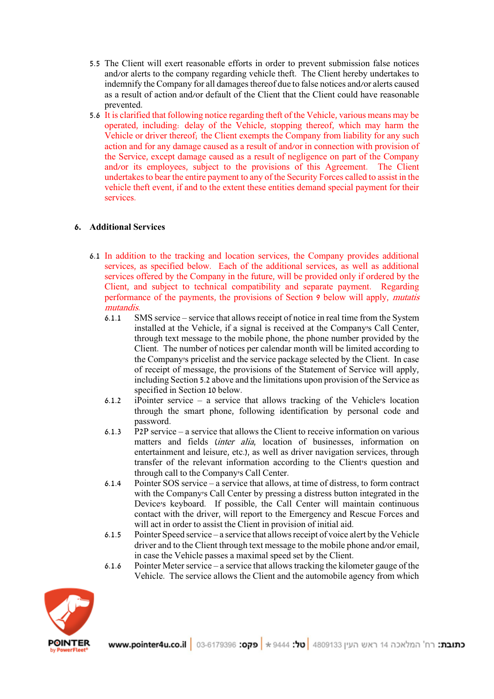- 5.5 The Client will exert reasonable efforts in order to prevent submission false notices and/or alerts to the company regarding vehicle theft. The Client hereby undertakes to indemnify the Company for all damages thereof due to false notices and/or alerts caused as a result of action and/or default of the Client that the Client could have reasonable prevented.
- 5.6 It is clarified that following notice regarding theft of the Vehicle, various means may be operated, including: delay of the Vehicle, stopping thereof, which may harm the Vehicle or driver thereof; the Client exempts the Company from liability for any such action and for any damage caused as a result of and/or in connection with provision of the Service, except damage caused as a result of negligence on part of the Company and/or its employees, subject to the provisions of this Agreement. The Client undertakes to bear the entire payment to any of the Security Forces called to assist in the vehicle theft event, if and to the extent these entities demand special payment for their services.

# **6. Additional Services**

- 6.1 In addition to the tracking and location services, the Company provides additional services, as specified below. Each of the additional services, as well as additional services offered by the Company in the future, will be provided only if ordered by the Client, and subject to technical compatibility and separate payment. Regarding performance of the payments, the provisions of Section 9 below will apply, mutatis mutandis.
	- 6.1.1 SMS service service that allows receipt of notice in real time from the System installed at the Vehicle, if a signal is received at the Company's Call Center, through text message to the mobile phone, the phone number provided by the Client. The number of notices per calendar month will be limited according to the Company's pricelist and the service package selected by the Client. In case of receipt of message, the provisions of the Statement of Service will apply, including Section 5.2 above and the limitations upon provision of the Service as specified in Section 10 below.
	- 6.1.2 iPointer service a service that allows tracking of the Vehicle's location through the smart phone, following identification by personal code and password.
	- 6.1.3 P2P service a service that allows the Client to receive information on various matters and fields (inter alia, location of businesses, information on entertainment and leisure, etc.), as well as driver navigation services, through transfer of the relevant information according to the Client's question and through call to the Company's Call Center.
	- 6.1.4 Pointer SOS service a service that allows, at time of distress, to form contract with the Company's Call Center by pressing a distress button integrated in the Device's keyboard. If possible, the Call Center will maintain continuous contact with the driver, will report to the Emergency and Rescue Forces and will act in order to assist the Client in provision of initial aid.
	- 6.1.5 Pointer Speed service a service that allows receipt of voice alert by the Vehicle driver and to the Client through text message to the mobile phone and/or email, in case the Vehicle passes a maximal speed set by the Client.
	- 6.1.6 Pointer Meter service a service that allows tracking the kilometer gauge of the Vehicle. The service allows the Client and the automobile agency from which

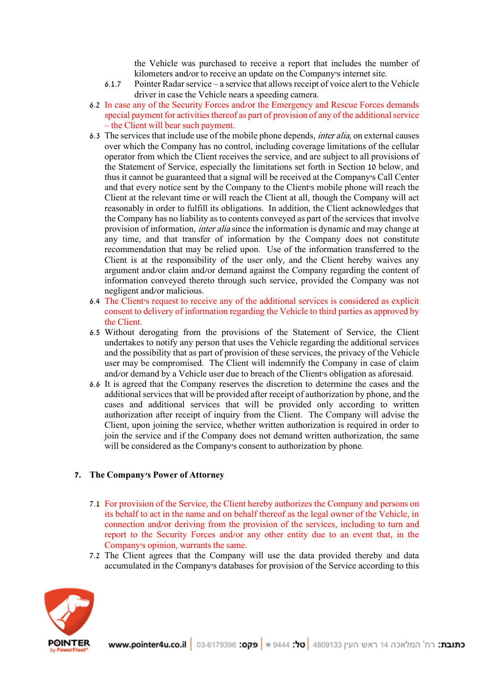the Vehicle was purchased to receive a report that includes the number of kilometers and/or to receive an update on the Company's internet site.

- 6.1.7 Pointer Radar service a service that allows receipt of voice alert to the Vehicle driver in case the Vehicle nears a speeding camera.
- 6.2 In case any of the Security Forces and/or the Emergency and Rescue Forces demands special payment for activities thereof as part of provision of any of the additional service – the Client will bear such payment.
- 6.3 The services that include use of the mobile phone depends, inter alia, on external causes over which the Company has no control, including coverage limitations of the cellular operator from which the Client receives the service, and are subject to all provisions of the Statement of Service, especially the limitations set forth in Section 10 below, and thus it cannot be guaranteed that a signal will be received at the Company's Call Center and that every notice sent by the Company to the Client's mobile phone will reach the Client at the relevant time or will reach the Client at all, though the Company will act reasonably in order to fulfill its obligations. In addition, the Client acknowledges that the Company has no liability as to contents conveyed as part of the services that involve provision of information, inter alia since the information is dynamic and may change at any time, and that transfer of information by the Company does not constitute recommendation that may be relied upon. Use of the information transferred to the Client is at the responsibility of the user only, and the Client hereby waives any argument and/or claim and/or demand against the Company regarding the content of information conveyed thereto through such service, provided the Company was not negligent and/or malicious.
- 6.4 The Client's request to receive any of the additional services is considered as explicit consent to delivery of information regarding the Vehicle to third parties as approved by the Client.
- 6.5 Without derogating from the provisions of the Statement of Service, the Client undertakes to notify any person that uses the Vehicle regarding the additional services and the possibility that as part of provision of these services, the privacy of the Vehicle user may be compromised. The Client will indemnify the Company in case of claim and/or demand by a Vehicle user due to breach of the Client's obligation as aforesaid.
- 6.6 It is agreed that the Company reserves the discretion to determine the cases and the additional services that will be provided after receipt of authorization by phone, and the cases and additional services that will be provided only according to written authorization after receipt of inquiry from the Client. The Company will advise the Client, upon joining the service, whether written authorization is required in order to join the service and if the Company does not demand written authorization, the same will be considered as the Company's consent to authorization by phone.

### **7. The Company's Power of Attorney**

- 7.1 For provision of the Service, the Client hereby authorizes the Company and persons on its behalf to act in the name and on behalf thereof as the legal owner of the Vehicle, in connection and/or deriving from the provision of the services, including to turn and report to the Security Forces and/or any other entity due to an event that, in the Company's opinion, warrants the same.
- 7.2 The Client agrees that the Company will use the data provided thereby and data accumulated in the Company's databases for provision of the Service according to this

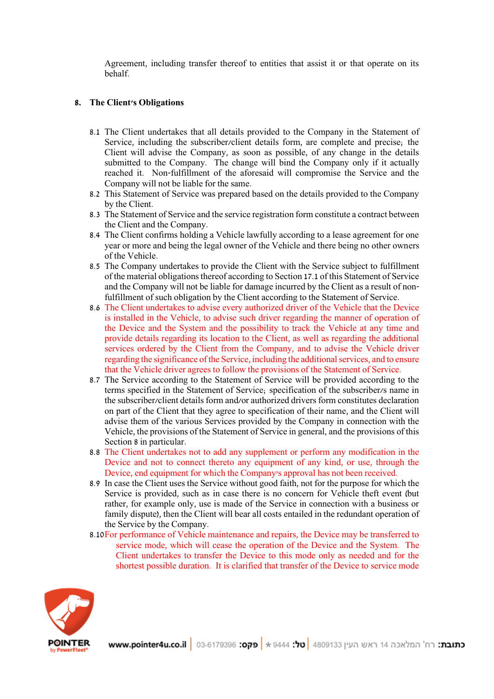Agreement, including transfer thereof to entities that assist it or that operate on its behalf.

## **8. The Client's Obligations**

- 8.1 The Client undertakes that all details provided to the Company in the Statement of Service, including the subscriber/client details form, are complete and precise; the Client will advise the Company, as soon as possible, of any change in the details submitted to the Company. The change will bind the Company only if it actually reached it. Non-fulfillment of the aforesaid will compromise the Service and the Company will not be liable for the same.
- 8.2 This Statement of Service was prepared based on the details provided to the Company by the Client.
- 8.3 The Statement of Service and the service registration form constitute a contract between the Client and the Company.
- 8.4 The Client confirms holding a Vehicle lawfully according to a lease agreement for one year or more and being the legal owner of the Vehicle and there being no other owners of the Vehicle.
- 8.5 The Company undertakes to provide the Client with the Service subject to fulfillment of the material obligations thereof according to Section 17.1 of this Statement of Service and the Company will not be liable for damage incurred by the Client as a result of nonfulfillment of such obligation by the Client according to the Statement of Service.
- 8.6 The Client undertakes to advise every authorized driver of the Vehicle that the Device is installed in the Vehicle, to advise such driver regarding the manner of operation of the Device and the System and the possibility to track the Vehicle at any time and provide details regarding its location to the Client, as well as regarding the additional services ordered by the Client from the Company, and to advise the Vehicle driver regarding the significance of the Service, including the additional services, and to ensure that the Vehicle driver agrees to follow the provisions of the Statement of Service.
- 8.7 The Service according to the Statement of Service will be provided according to the terms specified in the Statement of Service; specification of the subscriber/s name in the subscriber/client details form and/or authorized drivers form constitutes declaration on part of the Client that they agree to specification of their name, and the Client will advise them of the various Services provided by the Company in connection with the Vehicle, the provisions of the Statement of Service in general, and the provisions of this Section 8 in particular.
- 8.8 The Client undertakes not to add any supplement or perform any modification in the Device and not to connect thereto any equipment of any kind, or use, through the Device, end equipment for which the Company's approval has not been received.
- 8.9 In case the Client uses the Service without good faith, not for the purpose for which the Service is provided, such as in case there is no concern for Vehicle theft event (but rather, for example only, use is made of the Service in connection with a business or family dispute), then the Client will bear all costs entailed in the redundant operation of the Service by the Company.
- 8.10For performance of Vehicle maintenance and repairs, the Device may be transferred to service mode, which will cease the operation of the Device and the System. The Client undertakes to transfer the Device to this mode only as needed and for the shortest possible duration. It is clarified that transfer of the Device to service mode

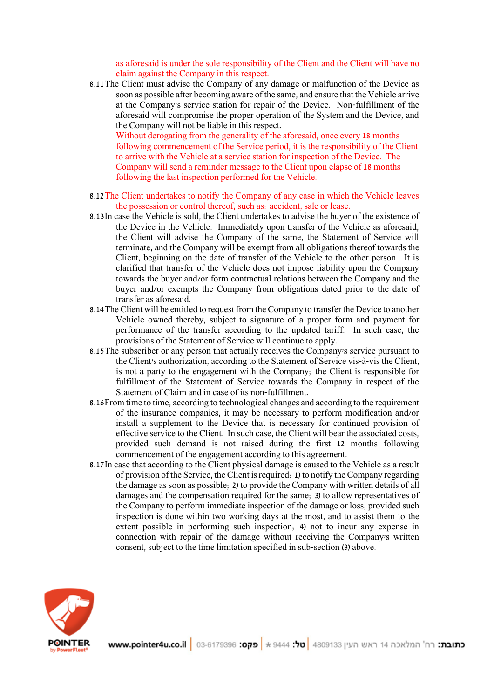as aforesaid is under the sole responsibility of the Client and the Client will have no claim against the Company in this respect.

8.11The Client must advise the Company of any damage or malfunction of the Device as soon as possible after becoming aware of the same, and ensure that the Vehicle arrive at the Company's service station for repair of the Device. Non-fulfillment of the aforesaid will compromise the proper operation of the System and the Device, and the Company will not be liable in this respect.

Without derogating from the generality of the aforesaid, once every 18 months following commencement of the Service period, it is the responsibility of the Client to arrive with the Vehicle at a service station for inspection of the Device. The Company will send a reminder message to the Client upon elapse of 18 months following the last inspection performed for the Vehicle.

- 8.12The Client undertakes to notify the Company of any case in which the Vehicle leaves the possession or control thereof, such as: accident, sale or lease.
- 8.13In case the Vehicle is sold, the Client undertakes to advise the buyer of the existence of the Device in the Vehicle. Immediately upon transfer of the Vehicle as aforesaid, the Client will advise the Company of the same, the Statement of Service will terminate, and the Company will be exempt from all obligations thereof towards the Client, beginning on the date of transfer of the Vehicle to the other person. It is clarified that transfer of the Vehicle does not impose liability upon the Company towards the buyer and/or form contractual relations between the Company and the buyer and/or exempts the Company from obligations dated prior to the date of transfer as aforesaid.
- 8.14The Client will be entitled to request from the Company to transfer the Device to another Vehicle owned thereby, subject to signature of a proper form and payment for performance of the transfer according to the updated tariff. In such case, the provisions of the Statement of Service will continue to apply.
- 8.15The subscriber or any person that actually receives the Company's service pursuant to the Client's authorization, according to the Statement of Service vis-à-vis the Client, is not a party to the engagement with the Company; the Client is responsible for fulfillment of the Statement of Service towards the Company in respect of the Statement of Claim and in case of its non-fulfillment.
- 8.16From time to time, according to technological changes and according to the requirement of the insurance companies, it may be necessary to perform modification and/or install a supplement to the Device that is necessary for continued provision of effective service to the Client. In such case, the Client will bear the associated costs, provided such demand is not raised during the first 12 months following commencement of the engagement according to this agreement.
- 8.17In case that according to the Client physical damage is caused to the Vehicle as a result of provision of the Service, the Client is required: 1) to notify the Company regarding the damage as soon as possible; 2) to provide the Company with written details of all damages and the compensation required for the same; 3) to allow representatives of the Company to perform immediate inspection of the damage or loss, provided such inspection is done within two working days at the most, and to assist them to the extent possible in performing such inspection; 4) not to incur any expense in connection with repair of the damage without receiving the Company's written consent, subject to the time limitation specified in sub-section (3) above.

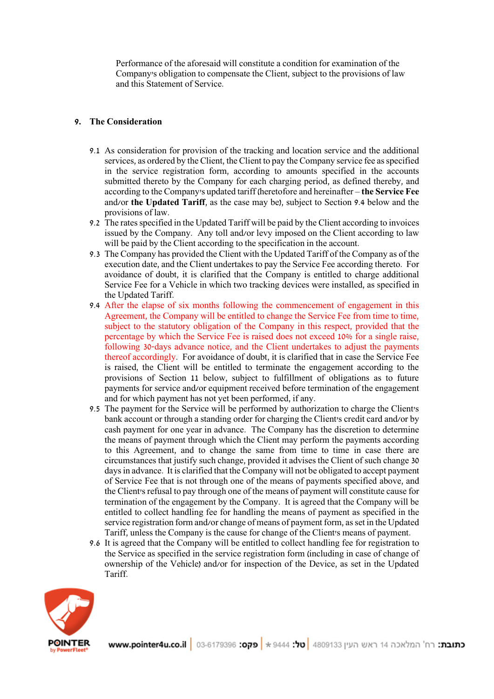Performance of the aforesaid will constitute a condition for examination of the Company's obligation to compensate the Client, subject to the provisions of law and this Statement of Service.

## **9. The Consideration**

- 9.1 As consideration for provision of the tracking and location service and the additional services, as ordered by the Client, the Client to pay the Company service fee as specified in the service registration form, according to amounts specified in the accounts submitted thereto by the Company for each charging period, as defined thereby, and according to the Company's updated tariff (heretofore and hereinafter – **the Service Fee**  and/or **the Updated Tariff**, as the case may be), subject to Section 9.4 below and the provisions of law.
- 9.2 The rates specified in the Updated Tariff will be paid by the Client according to invoices issued by the Company. Any toll and/or levy imposed on the Client according to law will be paid by the Client according to the specification in the account.
- 9.3 The Company has provided the Client with the Updated Tariff of the Company as of the execution date, and the Client undertakes to pay the Service Fee according thereto. For avoidance of doubt, it is clarified that the Company is entitled to charge additional Service Fee for a Vehicle in which two tracking devices were installed, as specified in the Updated Tariff.
- 9.4 After the elapse of six months following the commencement of engagement in this Agreement, the Company will be entitled to change the Service Fee from time to time, subject to the statutory obligation of the Company in this respect, provided that the percentage by which the Service Fee is raised does not exceed 10% for a single raise, following 30-days advance notice, and the Client undertakes to adjust the payments thereof accordingly. For avoidance of doubt, it is clarified that in case the Service Fee is raised, the Client will be entitled to terminate the engagement according to the provisions of Section 11 below, subject to fulfillment of obligations as to future payments for service and/or equipment received before termination of the engagement and for which payment has not yet been performed, if any.
- 9.5 The payment for the Service will be performed by authorization to charge the Client's bank account or through a standing order for charging the Client's credit card and/or by cash payment for one year in advance. The Company has the discretion to determine the means of payment through which the Client may perform the payments according to this Agreement, and to change the same from time to time in case there are circumstances that justify such change, provided it advises the Client of such change 30 days in advance. It is clarified that the Company will not be obligated to accept payment of Service Fee that is not through one of the means of payments specified above, and the Client's refusal to pay through one of the means of payment will constitute cause for termination of the engagement by the Company. It is agreed that the Company will be entitled to collect handling fee for handling the means of payment as specified in the service registration form and/or change of means of payment form, as set in the Updated Tariff, unless the Company is the cause for change of the Client's means of payment.
- 9.6 It is agreed that the Company will be entitled to collect handling fee for registration to the Service as specified in the service registration form (including in case of change of ownership of the Vehicle) and/or for inspection of the Device, as set in the Updated Tariff.

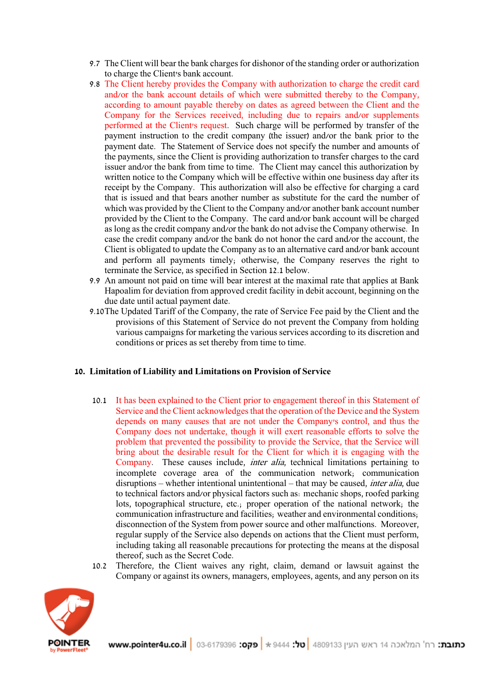- 9.7 The Client will bear the bank charges for dishonor of the standing order or authorization to charge the Client's bank account.
- 9.8 The Client hereby provides the Company with authorization to charge the credit card and/or the bank account details of which were submitted thereby to the Company, according to amount payable thereby on dates as agreed between the Client and the Company for the Services received, including due to repairs and/or supplements performed at the Client's request. Such charge will be performed by transfer of the payment instruction to the credit company (the issuer) and/or the bank prior to the payment date. The Statement of Service does not specify the number and amounts of the payments, since the Client is providing authorization to transfer charges to the card issuer and/or the bank from time to time. The Client may cancel this authorization by written notice to the Company which will be effective within one business day after its receipt by the Company. This authorization will also be effective for charging a card that is issued and that bears another number as substitute for the card the number of which was provided by the Client to the Company and/or another bank account number provided by the Client to the Company. The card and/or bank account will be charged as long as the credit company and/or the bank do not advise the Company otherwise. In case the credit company and/or the bank do not honor the card and/or the account, the Client is obligated to update the Company as to an alternative card and/or bank account and perform all payments timely; otherwise, the Company reserves the right to terminate the Service, as specified in Section 12.1 below.
- 9.9 An amount not paid on time will bear interest at the maximal rate that applies at Bank Hapoalim for deviation from approved credit facility in debit account, beginning on the due date until actual payment date.
- 9.10The Updated Tariff of the Company, the rate of Service Fee paid by the Client and the provisions of this Statement of Service do not prevent the Company from holding various campaigns for marketing the various services according to its discretion and conditions or prices as set thereby from time to time.

### **10. Limitation of Liability and Limitations on Provision of Service**

- 10.1 It has been explained to the Client prior to engagement thereof in this Statement of Service and the Client acknowledges that the operation of the Device and the System depends on many causes that are not under the Company's control, and thus the Company does not undertake, though it will exert reasonable efforts to solve the problem that prevented the possibility to provide the Service, that the Service will bring about the desirable result for the Client for which it is engaging with the Company. These causes include, inter alia, technical limitations pertaining to incomplete coverage area of the communication network; communication disruptions – whether intentional unintentional – that may be caused, inter alia, due to technical factors and/or physical factors such as: mechanic shops, roofed parking lots, topographical structure, etc.; proper operation of the national network; the communication infrastructure and facilities; weather and environmental conditions; disconnection of the System from power source and other malfunctions. Moreover, regular supply of the Service also depends on actions that the Client must perform, including taking all reasonable precautions for protecting the means at the disposal thereof, such as the Secret Code.
- 10.2 Therefore, the Client waives any right, claim, demand or lawsuit against the Company or against its owners, managers, employees, agents, and any person on its

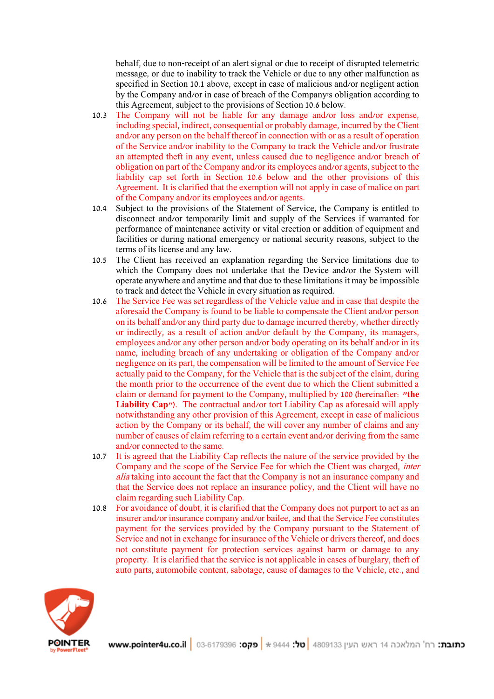behalf, due to non-receipt of an alert signal or due to receipt of disrupted telemetric message, or due to inability to track the Vehicle or due to any other malfunction as specified in Section 10.1 above, except in case of malicious and/or negligent action by the Company and/or in case of breach of the Company's obligation according to this Agreement, subject to the provisions of Section 10.6 below.

- 10.3 The Company will not be liable for any damage and/or loss and/or expense, including special, indirect, consequential or probably damage, incurred by the Client and/or any person on the behalf thereof in connection with or as a result of operation of the Service and/or inability to the Company to track the Vehicle and/or frustrate an attempted theft in any event, unless caused due to negligence and/or breach of obligation on part of the Company and/or its employees and/or agents, subject to the liability cap set forth in Section 10.6 below and the other provisions of this Agreement. It is clarified that the exemption will not apply in case of malice on part of the Company and/or its employees and/or agents.
- 10.4 Subject to the provisions of the Statement of Service, the Company is entitled to disconnect and/or temporarily limit and supply of the Services if warranted for performance of maintenance activity or vital erection or addition of equipment and facilities or during national emergency or national security reasons, subject to the terms of its license and any law.
- 10.5 The Client has received an explanation regarding the Service limitations due to which the Company does not undertake that the Device and/or the System will operate anywhere and anytime and that due to these limitations it may be impossible to track and detect the Vehicle in every situation as required.
- 10.6 The Service Fee was set regardless of the Vehicle value and in case that despite the aforesaid the Company is found to be liable to compensate the Client and/or person on its behalf and/or any third party due to damage incurred thereby, whether directly or indirectly, as a result of action and/or default by the Company, its managers, employees and/or any other person and/or body operating on its behalf and/or in its name, including breach of any undertaking or obligation of the Company and/or negligence on its part, the compensation will be limited to the amount of Service Fee actually paid to the Company, for the Vehicle that is the subject of the claim, during the month prior to the occurrence of the event due to which the Client submitted a claim or demand for payment to the Company, multiplied by 100 (hereinafter: **"the Liability Cap"**). The contractual and/or tort Liability Cap as aforesaid will apply notwithstanding any other provision of this Agreement, except in case of malicious action by the Company or its behalf, the will cover any number of claims and any number of causes of claim referring to a certain event and/or deriving from the same and/or connected to the same.
- 10.7 It is agreed that the Liability Cap reflects the nature of the service provided by the Company and the scope of the Service Fee for which the Client was charged, inter alia taking into account the fact that the Company is not an insurance company and that the Service does not replace an insurance policy, and the Client will have no claim regarding such Liability Cap.
- 10.8 For avoidance of doubt, it is clarified that the Company does not purport to act as an insurer and/or insurance company and/or bailee, and that the Service Fee constitutes payment for the services provided by the Company pursuant to the Statement of Service and not in exchange for insurance of the Vehicle or drivers thereof, and does not constitute payment for protection services against harm or damage to any property. It is clarified that the service is not applicable in cases of burglary, theft of auto parts, automobile content, sabotage, cause of damages to the Vehicle, etc., and

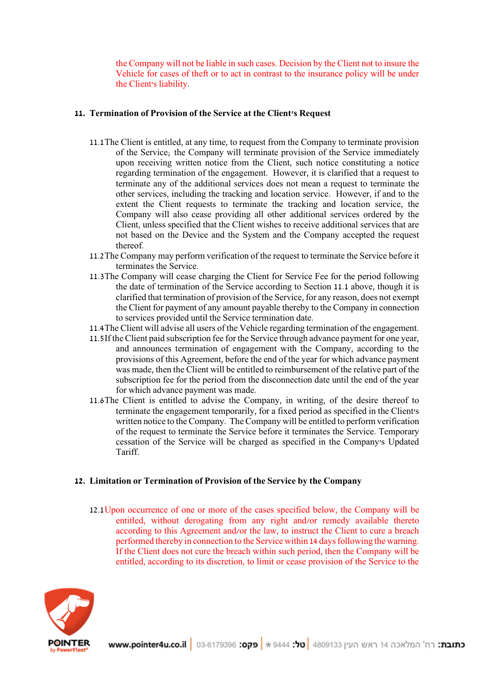the Company will not be liable in such cases. Decision by the Client not to insure the Vehicle for cases of theft or to act in contrast to the insurance policy will be under the Client's liability.

### **11. Termination of Provision of the Service at the Client's Request**

- 11.1The Client is entitled, at any time, to request from the Company to terminate provision of the Service; the Company will terminate provision of the Service immediately upon receiving written notice from the Client, such notice constituting a notice regarding termination of the engagement. However, it is clarified that a request to terminate any of the additional services does not mean a request to terminate the other services, including the tracking and location service. However, if and to the extent the Client requests to terminate the tracking and location service, the Company will also cease providing all other additional services ordered by the Client, unless specified that the Client wishes to receive additional services that are not based on the Device and the System and the Company accepted the request thereof.
- 11.2The Company may perform verification of the request to terminate the Service before it terminates the Service.
- 11.3The Company will cease charging the Client for Service Fee for the period following the date of termination of the Service according to Section 11.1 above, though it is clarified that termination of provision of the Service, for any reason, does not exempt the Client for payment of any amount payable thereby to the Company in connection to services provided until the Service termination date.
- 11.4The Client will advise all users of the Vehicle regarding termination of the engagement.
- 11.5If the Client paid subscription fee for the Service through advance payment for one year, and announces termination of engagement with the Company, according to the provisions of this Agreement, before the end of the year for which advance payment was made, then the Client will be entitled to reimbursement of the relative part of the subscription fee for the period from the disconnection date until the end of the year for which advance payment was made.
- 11.6The Client is entitled to advise the Company, in writing, of the desire thereof to terminate the engagement temporarily, for a fixed period as specified in the Client's written notice to the Company. The Company will be entitled to perform verification of the request to terminate the Service before it terminates the Service. Temporary cessation of the Service will be charged as specified in the Company's Updated Tariff.

### **12. Limitation or Termination of Provision of the Service by the Company**

12.1Upon occurrence of one or more of the cases specified below, the Company will be entitled, without derogating from any right and/or remedy available thereto according to this Agreement and/or the law, to instruct the Client to cure a breach performed thereby in connection to the Service within 14 days following the warning. If the Client does not cure the breach within such period, then the Company will be entitled, according to its discretion, to limit or cease provision of the Service to the

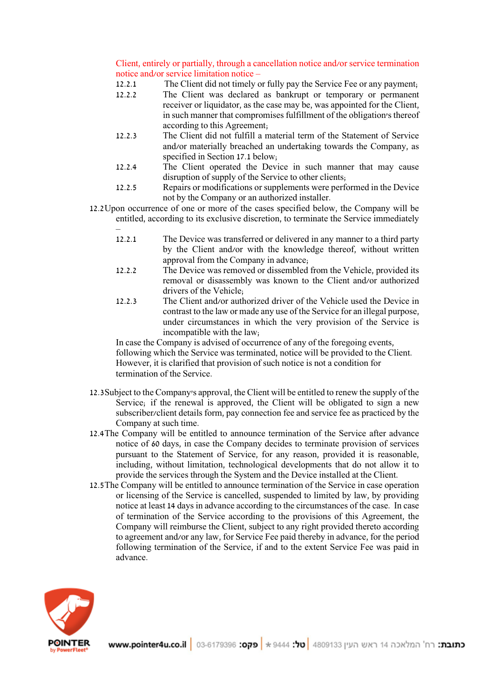Client, entirely or partially, through a cancellation notice and/or service termination notice and/or service limitation notice –

- 12.2.1 The Client did not timely or fully pay the Service Fee or any payment;
- 12.2.2 The Client was declared as bankrupt or temporary or permanent receiver or liquidator, as the case may be, was appointed for the Client, in such manner that compromises fulfillment of the obligation's thereof according to this Agreement;
- 12.2.3 The Client did not fulfill a material term of the Statement of Service and/or materially breached an undertaking towards the Company, as specified in Section 17.1 below;
- 12.2.4 The Client operated the Device in such manner that may cause disruption of supply of the Service to other clients;
- 12.2.5 Repairs or modifications or supplements were performed in the Device not by the Company or an authorized installer.
- 12.2Upon occurrence of one or more of the cases specified below, the Company will be entitled, according to its exclusive discretion, to terminate the Service immediately
	- 12.2.1 The Device was transferred or delivered in any manner to a third party by the Client and/or with the knowledge thereof, without written approval from the Company in advance;
	- 12.2.2 The Device was removed or dissembled from the Vehicle, provided its removal or disassembly was known to the Client and/or authorized drivers of the Vehicle;
	- 12.2.3 The Client and/or authorized driver of the Vehicle used the Device in contrast to the law or made any use of the Service for an illegal purpose, under circumstances in which the very provision of the Service is incompatible with the law;

In case the Company is advised of occurrence of any of the foregoing events, following which the Service was terminated, notice will be provided to the Client. However, it is clarified that provision of such notice is not a condition for termination of the Service.

- 12.3Subject to the Company's approval, the Client will be entitled to renew the supply of the Service; if the renewal is approved, the Client will be obligated to sign a new subscriber/client details form, pay connection fee and service fee as practiced by the Company at such time.
- 12.4The Company will be entitled to announce termination of the Service after advance notice of 60 days, in case the Company decides to terminate provision of services pursuant to the Statement of Service, for any reason, provided it is reasonable, including, without limitation, technological developments that do not allow it to provide the services through the System and the Device installed at the Client.
- 12.5The Company will be entitled to announce termination of the Service in case operation or licensing of the Service is cancelled, suspended to limited by law, by providing notice at least 14 days in advance according to the circumstances of the case. In case of termination of the Service according to the provisions of this Agreement, the Company will reimburse the Client, subject to any right provided thereto according to agreement and/or any law, for Service Fee paid thereby in advance, for the period following termination of the Service, if and to the extent Service Fee was paid in advance.

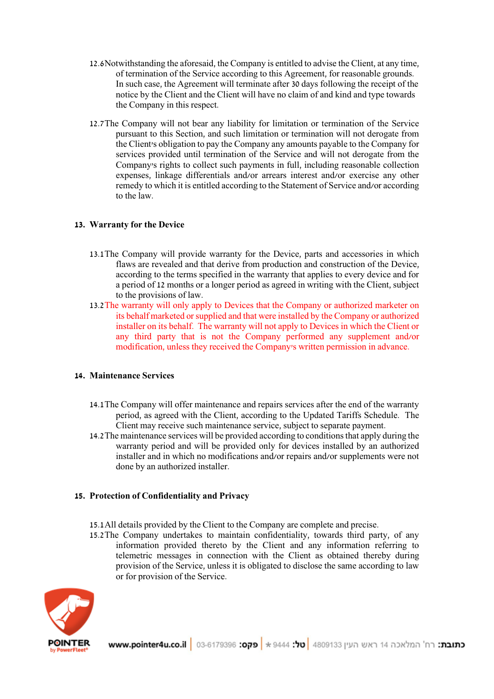- 12.6Notwithstanding the aforesaid, the Company is entitled to advise the Client, at any time, of termination of the Service according to this Agreement, for reasonable grounds. In such case, the Agreement will terminate after 30 days following the receipt of the notice by the Client and the Client will have no claim of and kind and type towards the Company in this respect.
- 12.7The Company will not bear any liability for limitation or termination of the Service pursuant to this Section, and such limitation or termination will not derogate from the Client's obligation to pay the Company any amounts payable to the Company for services provided until termination of the Service and will not derogate from the Company's rights to collect such payments in full, including reasonable collection expenses, linkage differentials and/or arrears interest and/or exercise any other remedy to which it is entitled according to the Statement of Service and/or according to the law.

## **13. Warranty for the Device**

- 13.1The Company will provide warranty for the Device, parts and accessories in which flaws are revealed and that derive from production and construction of the Device, according to the terms specified in the warranty that applies to every device and for a period of 12 months or a longer period as agreed in writing with the Client, subject to the provisions of law.
- 13.2The warranty will only apply to Devices that the Company or authorized marketer on its behalf marketed or supplied and that were installed by the Company or authorized installer on its behalf. The warranty will not apply to Devices in which the Client or any third party that is not the Company performed any supplement and/or modification, unless they received the Company's written permission in advance.

### **14. Maintenance Services**

- 14.1The Company will offer maintenance and repairs services after the end of the warranty period, as agreed with the Client, according to the Updated Tariffs Schedule. The Client may receive such maintenance service, subject to separate payment.
- 14.2The maintenance services will be provided according to conditions that apply during the warranty period and will be provided only for devices installed by an authorized installer and in which no modifications and/or repairs and/or supplements were not done by an authorized installer.

### **15. Protection of Confidentiality and Privacy**

- 15.1All details provided by the Client to the Company are complete and precise.
- 15.2The Company undertakes to maintain confidentiality, towards third party, of any information provided thereto by the Client and any information referring to telemetric messages in connection with the Client as obtained thereby during provision of the Service, unless it is obligated to disclose the same according to law or for provision of the Service.

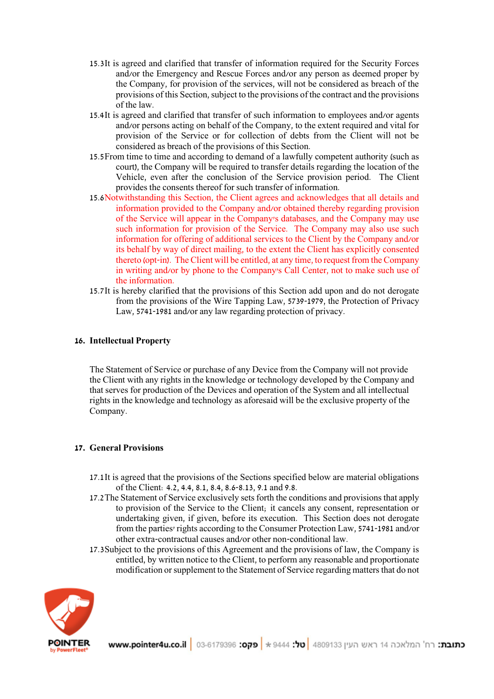- 15.3It is agreed and clarified that transfer of information required for the Security Forces and/or the Emergency and Rescue Forces and/or any person as deemed proper by the Company, for provision of the services, will not be considered as breach of the provisions of this Section, subject to the provisions of the contract and the provisions of the law.
- 15.4It is agreed and clarified that transfer of such information to employees and/or agents and/or persons acting on behalf of the Company, to the extent required and vital for provision of the Service or for collection of debts from the Client will not be considered as breach of the provisions of this Section.
- 15.5From time to time and according to demand of a lawfully competent authority (such as court), the Company will be required to transfer details regarding the location of the Vehicle, even after the conclusion of the Service provision period. The Client provides the consents thereof for such transfer of information.
- 15.6Notwithstanding this Section, the Client agrees and acknowledges that all details and information provided to the Company and/or obtained thereby regarding provision of the Service will appear in the Company's databases, and the Company may use such information for provision of the Service. The Company may also use such information for offering of additional services to the Client by the Company and/or its behalf by way of direct mailing, to the extent the Client has explicitly consented thereto (opt-in). The Client will be entitled, at any time, to request from the Company in writing and/or by phone to the Company's Call Center, not to make such use of the information.
- 15.7It is hereby clarified that the provisions of this Section add upon and do not derogate from the provisions of the Wire Tapping Law, 5739-1979, the Protection of Privacy Law, 5741-1981 and/or any law regarding protection of privacy.

# **16. Intellectual Property**

The Statement of Service or purchase of any Device from the Company will not provide the Client with any rights in the knowledge or technology developed by the Company and that serves for production of the Devices and operation of the System and all intellectual rights in the knowledge and technology as aforesaid will be the exclusive property of the Company.

### **17. General Provisions**

- 17.1It is agreed that the provisions of the Sections specified below are material obligations of the Client: 4.2, 4.4, 8.1, 8.4, 8.6-8.13, 9.1 and 9.8.
- 17.2The Statement of Service exclusively sets forth the conditions and provisions that apply to provision of the Service to the Client; it cancels any consent, representation or undertaking given, if given, before its execution. This Section does not derogate from the parties' rights according to the Consumer Protection Law, 5741-1981 and/or other extra-contractual causes and/or other non-conditional law.
- 17.3Subject to the provisions of this Agreement and the provisions of law, the Company is entitled, by written notice to the Client, to perform any reasonable and proportionate modification or supplement to the Statement of Service regarding matters that do not